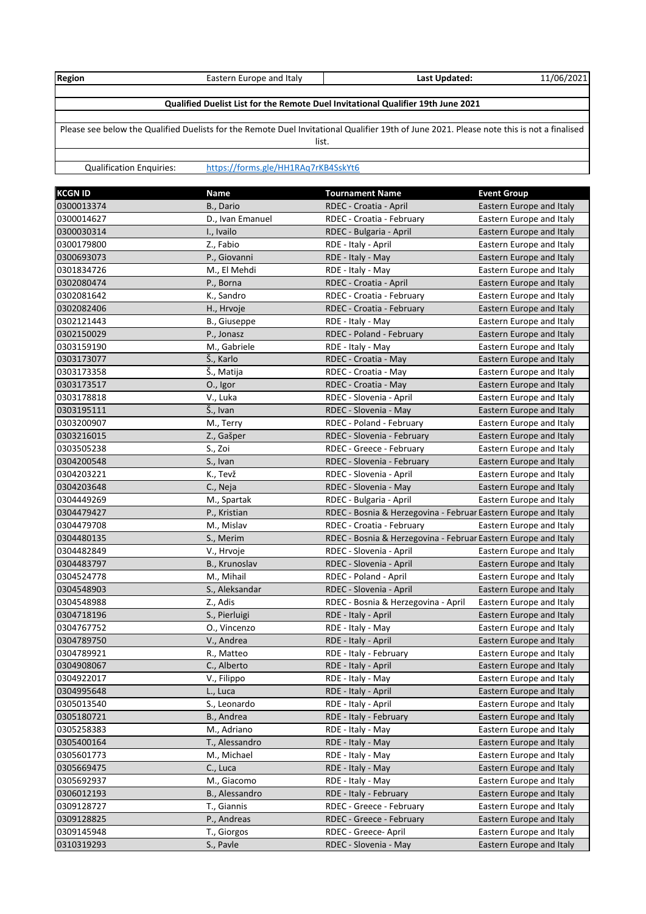| Region                                                                                                                                    | Eastern Europe and Italy            | Last Updated: | 11/06/2021 |  |  |
|-------------------------------------------------------------------------------------------------------------------------------------------|-------------------------------------|---------------|------------|--|--|
|                                                                                                                                           |                                     |               |            |  |  |
| Qualified Duelist List for the Remote Duel Invitational Qualifier 19th June 2021                                                          |                                     |               |            |  |  |
|                                                                                                                                           |                                     |               |            |  |  |
| Please see below the Qualified Duelists for the Remote Duel Invitational Qualifier 19th of June 2021. Please note this is not a finalised |                                     |               |            |  |  |
| list.                                                                                                                                     |                                     |               |            |  |  |
|                                                                                                                                           |                                     |               |            |  |  |
| <b>Qualification Enquiries:</b>                                                                                                           | https://forms.gle/HH1RAq7rKB4SskYt6 |               |            |  |  |

| <b>KCGN ID</b> | <b>Name</b>      | <b>Tournament Name</b>                                         | <b>Event Group</b>       |
|----------------|------------------|----------------------------------------------------------------|--------------------------|
| 0300013374     | B., Dario        | RDEC - Croatia - April                                         | Eastern Europe and Italy |
| 0300014627     | D., Ivan Emanuel | RDEC - Croatia - February                                      | Eastern Europe and Italy |
| 0300030314     | I., Ivailo       | RDEC - Bulgaria - April                                        | Eastern Europe and Italy |
| 0300179800     | Z., Fabio        | RDE - Italy - April                                            | Eastern Europe and Italy |
| 0300693073     | P., Giovanni     | RDE - Italy - May                                              | Eastern Europe and Italy |
| 0301834726     | M., El Mehdi     | RDE - Italy - May                                              | Eastern Europe and Italy |
| 0302080474     | P., Borna        | RDEC - Croatia - April                                         | Eastern Europe and Italy |
| 0302081642     | K., Sandro       | RDEC - Croatia - February                                      | Eastern Europe and Italy |
| 0302082406     | H., Hrvoje       | RDEC - Croatia - February                                      | Eastern Europe and Italy |
| 0302121443     | B., Giuseppe     | RDE - Italy - May                                              | Eastern Europe and Italy |
| 0302150029     | P., Jonasz       | RDEC - Poland - February                                       | Eastern Europe and Italy |
| 0303159190     | M., Gabriele     | RDE - Italy - May                                              | Eastern Europe and Italy |
| 0303173077     | Š., Karlo        | RDEC - Croatia - May                                           | Eastern Europe and Italy |
| 0303173358     | Š., Matija       | RDEC - Croatia - May                                           | Eastern Europe and Italy |
| 0303173517     | O., Igor         | RDEC - Croatia - May                                           | Eastern Europe and Italy |
| 0303178818     | V., Luka         | RDEC - Slovenia - April                                        | Eastern Europe and Italy |
| 0303195111     | Š., Ivan         | RDEC - Slovenia - May                                          | Eastern Europe and Italy |
| 0303200907     | M., Terry        | RDEC - Poland - February                                       | Eastern Europe and Italy |
| 0303216015     | Z., Gašper       | RDEC - Slovenia - February                                     | Eastern Europe and Italy |
| 0303505238     | S., Zoi          | RDEC - Greece - February                                       | Eastern Europe and Italy |
| 0304200548     | S., Ivan         | RDEC - Slovenia - February                                     | Eastern Europe and Italy |
| 0304203221     | K., Tevž         | RDEC - Slovenia - April                                        | Eastern Europe and Italy |
| 0304203648     | C., Neja         | RDEC - Slovenia - May                                          | Eastern Europe and Italy |
| 0304449269     | M., Spartak      | RDEC - Bulgaria - April                                        | Eastern Europe and Italy |
| 0304479427     | P., Kristian     | RDEC - Bosnia & Herzegovina - Februar Eastern Europe and Italy |                          |
| 0304479708     | M., Mislav       | RDEC - Croatia - February                                      | Eastern Europe and Italy |
| 0304480135     | S., Merim        | RDEC - Bosnia & Herzegovina - Februar Eastern Europe and Italy |                          |
| 0304482849     | V., Hrvoje       | RDEC - Slovenia - April                                        | Eastern Europe and Italy |
| 0304483797     | B., Krunoslav    | RDEC - Slovenia - April                                        | Eastern Europe and Italy |
| 0304524778     | M., Mihail       | RDEC - Poland - April                                          | Eastern Europe and Italy |
| 0304548903     | S., Aleksandar   | RDEC - Slovenia - April                                        | Eastern Europe and Italy |
| 0304548988     | Z., Adis         | RDEC - Bosnia & Herzegovina - April                            | Eastern Europe and Italy |
| 0304718196     | S., Pierluigi    | RDE - Italy - April                                            | Eastern Europe and Italy |
| 0304767752     | O., Vincenzo     | RDE - Italy - May                                              | Eastern Europe and Italy |
| 0304789750     | V., Andrea       | RDE - Italy - April                                            | Eastern Europe and Italy |
| 0304789921     | R., Matteo       | RDE - Italy - February                                         | Eastern Europe and Italy |
| 0304908067     | C., Alberto      | RDE - Italy - April                                            | Eastern Europe and Italy |
| 0304922017     | V., Filippo      | RDE - Italy - May                                              | Eastern Europe and Italy |
| 0304995648     | L., Luca         | RDE - Italy - April                                            | Eastern Europe and Italy |
| 0305013540     | S., Leonardo     | RDE - Italy - April                                            | Eastern Europe and Italy |
| 0305180721     | B., Andrea       | RDE - Italy - February                                         | Eastern Europe and Italy |
| 0305258383     | M., Adriano      | RDE - Italy - May                                              | Eastern Europe and Italy |
| 0305400164     | T., Alessandro   | RDE - Italy - May                                              | Eastern Europe and Italy |
| 0305601773     | M., Michael      | RDE - Italy - May                                              | Eastern Europe and Italy |
| 0305669475     | C., Luca         | RDE - Italy - May                                              | Eastern Europe and Italy |
| 0305692937     | M., Giacomo      | RDE - Italy - May                                              | Eastern Europe and Italy |
| 0306012193     | B., Alessandro   | RDE - Italy - February                                         | Eastern Europe and Italy |
| 0309128727     | T., Giannis      | RDEC - Greece - February                                       | Eastern Europe and Italy |
| 0309128825     | P., Andreas      | RDEC - Greece - February                                       | Eastern Europe and Italy |
| 0309145948     | T., Giorgos      | RDEC - Greece- April                                           | Eastern Europe and Italy |
| 0310319293     | S., Pavle        | RDEC - Slovenia - May                                          | Eastern Europe and Italy |